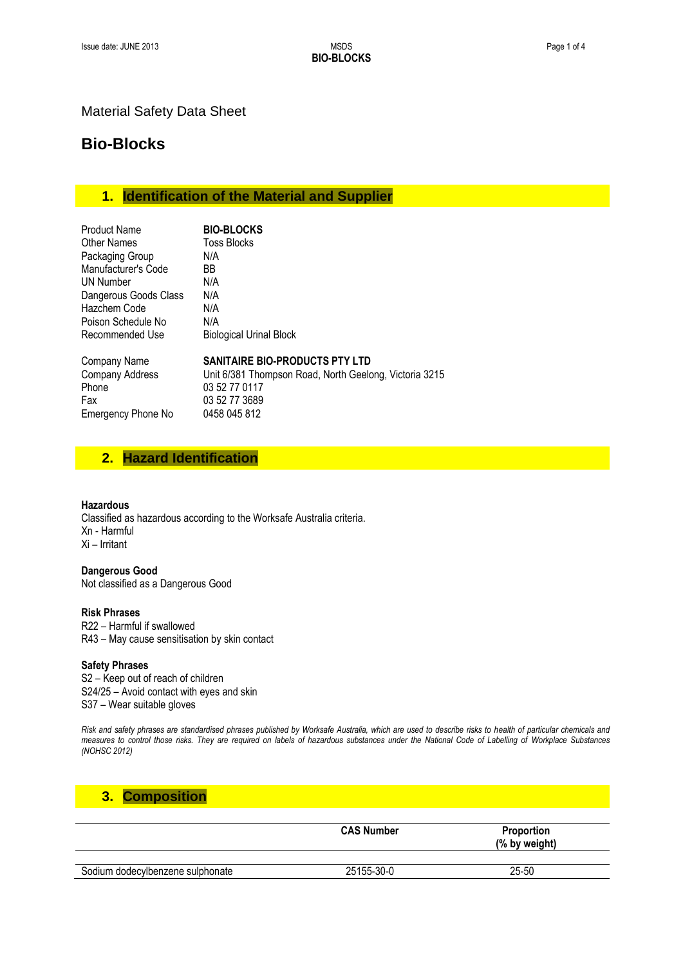### Material Safety Data Sheet

# **Bio-Blocks**

# **1. Identification of the Material and Supplier**

| <b>Product Name</b>       | <b>BIO-BLOCKS</b>                                      |
|---------------------------|--------------------------------------------------------|
| <b>Other Names</b>        | Toss Blocks                                            |
| Packaging Group           | N/A                                                    |
| Manufacturer's Code       | BB                                                     |
| UN Number                 | N/A                                                    |
| Dangerous Goods Class     | N/A                                                    |
| Hazchem Code              | N/A                                                    |
| Poison Schedule No        | N/A                                                    |
| Recommended Use           | <b>Biological Urinal Block</b>                         |
| Company Name              | SANITAIRE BIO-PRODUCTS PTY LTD                         |
| Company Address           | Unit 6/381 Thompson Road, North Geelong, Victoria 3215 |
| Phone                     | 03 52 77 0117                                          |
| Fax                       | 03 52 77 3689                                          |
| <b>Emergency Phone No</b> | 0458 045 812                                           |

# **2. Hazard Identification**

#### **Hazardous**

Classified as hazardous according to the Worksafe Australia criteria. Xn - Harmful Xi – Irritant

**Dangerous Good** Not classified as a Dangerous Good

#### **Risk Phrases**

R22 – Harmful if swallowed R43 – May cause sensitisation by skin contact

#### **Safety Phrases**

S2 – Keep out of reach of children S24/25 – Avoid contact with eyes and skin S37 – Wear suitable gloves

*Risk and safety phrases are standardised phrases published by Worksafe Australia, which are used to describe risks to health of particular chemicals and measures to control those risks. They are required on labels of hazardous substances under the National Code of Labelling of Workplace Substances (NOHSC 2012)*

# **3. Composition**

|                                  | <b>CAS Number</b> | <b>Proportion</b><br>(% by weight) |
|----------------------------------|-------------------|------------------------------------|
| Sodium dodecylbenzene sulphonate | 25155-30-0        | 25-50                              |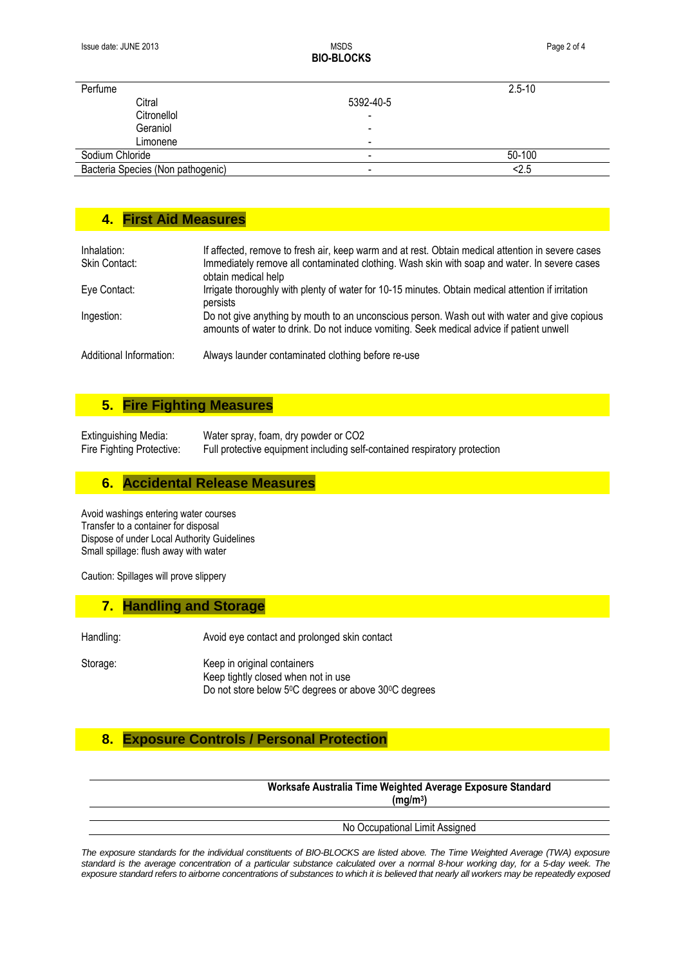**BIO-BLOCKS**

| Perfume                           |                          | $2.5 - 10$ |
|-----------------------------------|--------------------------|------------|
| Citral                            | 5392-40-5                |            |
| Citronellol                       | -                        |            |
| Geraniol                          | -                        |            |
| Limonene                          | $\overline{\phantom{0}}$ |            |
| Sodium Chloride                   | $\,$                     | 50-100     |
| Bacteria Species (Non pathogenic) | -                        | 2.5        |

### **4. First Aid Measures**

| Inhalation:<br>Skin Contact: | If affected, remove to fresh air, keep warm and at rest. Obtain medical attention in severe cases<br>Immediately remove all contaminated clothing. Wash skin with soap and water. In severe cases<br>obtain medical help |
|------------------------------|--------------------------------------------------------------------------------------------------------------------------------------------------------------------------------------------------------------------------|
| Eye Contact:                 | Irrigate thoroughly with plenty of water for 10-15 minutes. Obtain medical attention if irritation<br>persists                                                                                                           |
| Ingestion:                   | Do not give anything by mouth to an unconscious person. Wash out with water and give copious<br>amounts of water to drink. Do not induce vomiting. Seek medical advice if patient unwell                                 |
| Additional Information:      | Always launder contaminated clothing before re-use                                                                                                                                                                       |

### **5. Fire Fighting Measures**

Extinguishing Media: Water spray, foam, dry powder or CO2 Fire Fighting Protective: Full protective equipment including self-contained respiratory protection

### **6. Accidental Release Measures**

Avoid washings entering water courses Transfer to a container for disposal Dispose of under Local Authority Guidelines Small spillage: flush away with water

Caution: Spillages will prove slippery

# **7. Handling and Storage**

Handling: National Avoid eye contact and prolonged skin contact

Storage: Keep in original containers Keep tightly closed when not in use Do not store below 5<sup>0</sup>C degrees or above 30<sup>0</sup>C degrees

### **8. Exposure Controls / Personal Protection**

**Worksafe Australia Time Weighted Average Exposure Standard (mg/m<sup>3</sup> )**

#### No Occupational Limit Assigned

*The exposure standards for the individual constituents of BIO-BLOCKS are listed above. The Time Weighted Average (TWA) exposure standard is the average concentration of a particular substance calculated over a normal 8-hour working day, for a 5-day week. The exposure standard refers to airborne concentrations of substances to which it is believed that nearly all workers may be repeatedly exposed*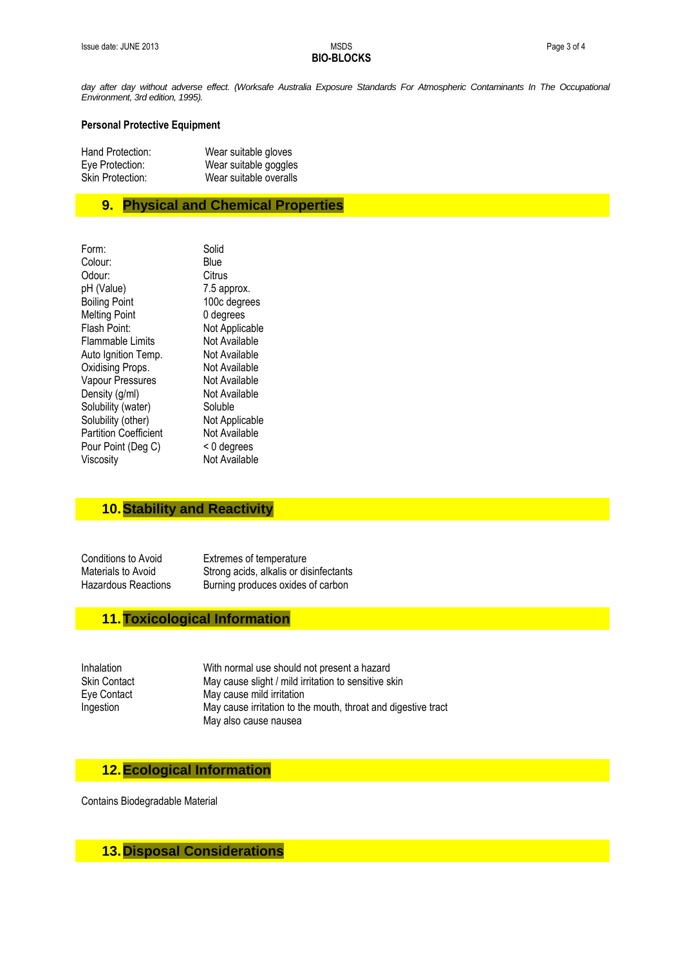# **BIO-BLOCKS**

day after day without adverse effect. (Worksafe Australia Exposure Standards For Atmospheric Contaminants In The Occupational *Environment, 3rd edition, 1995).*

#### **Personal Protective Equipment**

| Hand Protection: | Wear suitable gloves   |
|------------------|------------------------|
| Eve Protection:  | Wear suitable goggles  |
| Skin Protection: | Wear suitable overalls |

### **9. Physical and Chemical Properties**

| Form:                        | Solid          |
|------------------------------|----------------|
| Colour:                      | Blue           |
| Odour:                       | Citrus         |
| pH (Value)                   | 7.5 approx.    |
| <b>Boiling Point</b>         | 100c degrees   |
| <b>Melting Point</b>         | 0 degrees      |
| Flash Point:                 | Not Applicable |
| Flammable Limits             | Not Available  |
| Auto Ignition Temp.          | Not Available  |
| Oxidising Props.             | Not Available  |
| Vapour Pressures             | Not Available  |
| Density (g/ml)               | Not Available  |
| Solubility (water)           | Soluble        |
| Solubility (other)           | Not Applicable |
| <b>Partition Coefficient</b> | Not Available  |
| Pour Point (Deg C)           | < 0 degrees    |
| Viscosity                    | Not Available  |
|                              |                |

# **10.Stability and Reactivity**

Conditions to Avoid Extremes of temperature Materials to Avoid Strong acids, alkalis or disinfectants Hazardous Reactions Burning produces oxides of carbon

### **11.Toxicological Information**

Inhalation With normal use should not present a hazard Skin Contact May cause slight / mild irritation to sensitive skin Eye Contact May cause mild irritation Ingestion May cause irritation to the mouth, throat and digestive tract May also cause nausea

# **12.Ecological Information**

Contains Biodegradable Material

### **13.Disposal Considerations**